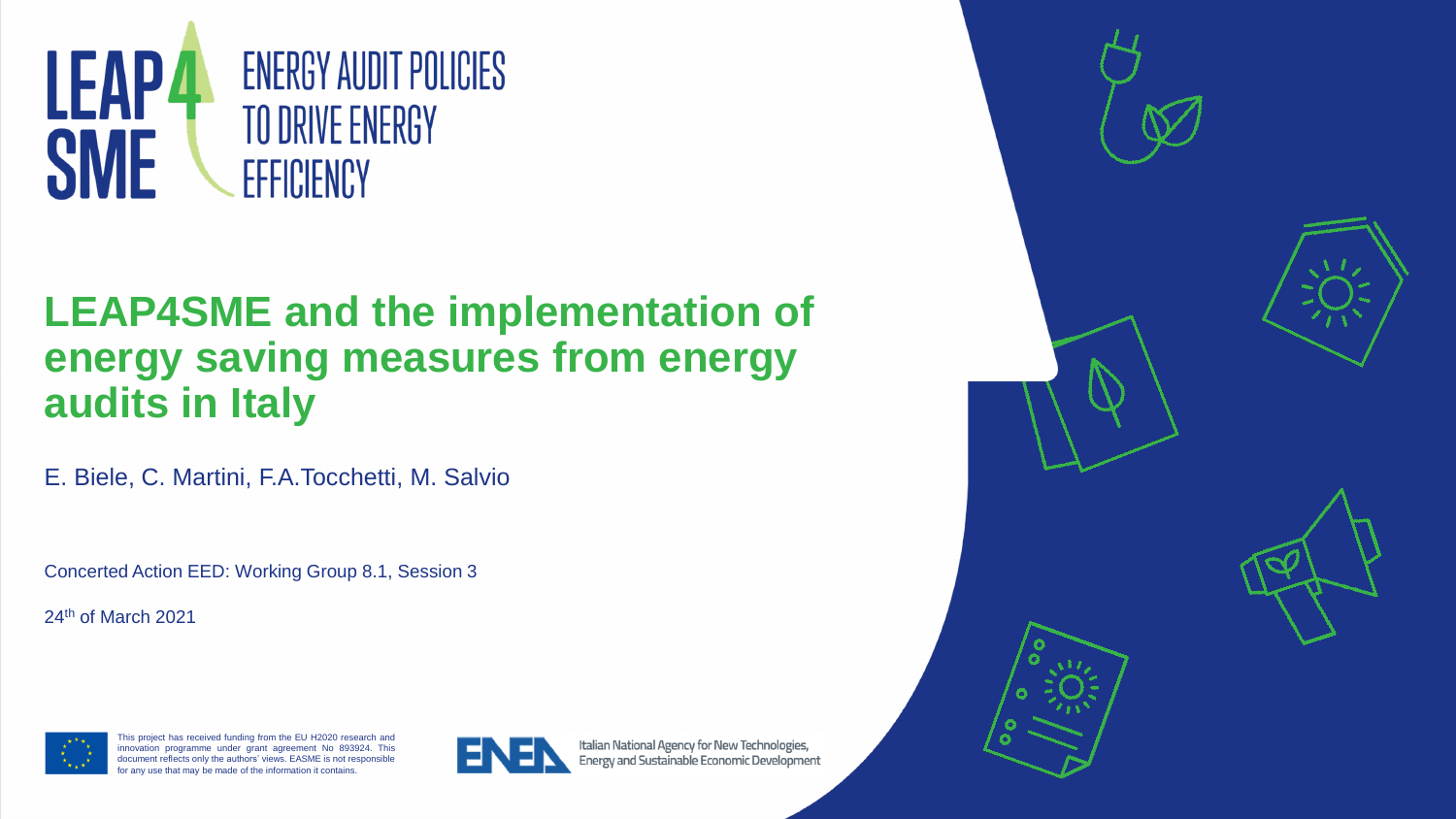

# **LEAP4SME and the implementation of energy saving measures from energy audits in Italy**

E. Biele, C. Martini, F.A.Tocchetti, M. Salvio

Concerted Action EED: Working Group 8.1, Session 3

24<sup>th</sup> of March 2021



This project has received funding from the EU H2020 research and **The COVID-1900** research and innovation programme under grant agreement No 893924. This **The Contract of Taylor Contract Contract Contract Contract Contract Contract Contract Contract Contract Contract Contract Contract Contract Contract Contract Cont** document reflects only the authors' views. EASME is not responsible document reflects only the authors' views. EASME is not responsible for any use that may be made of the information it contains. for any use that may be made of the informationit contains.



Italian National Agency for New Technologies, Energy and Sustainable Economic Development

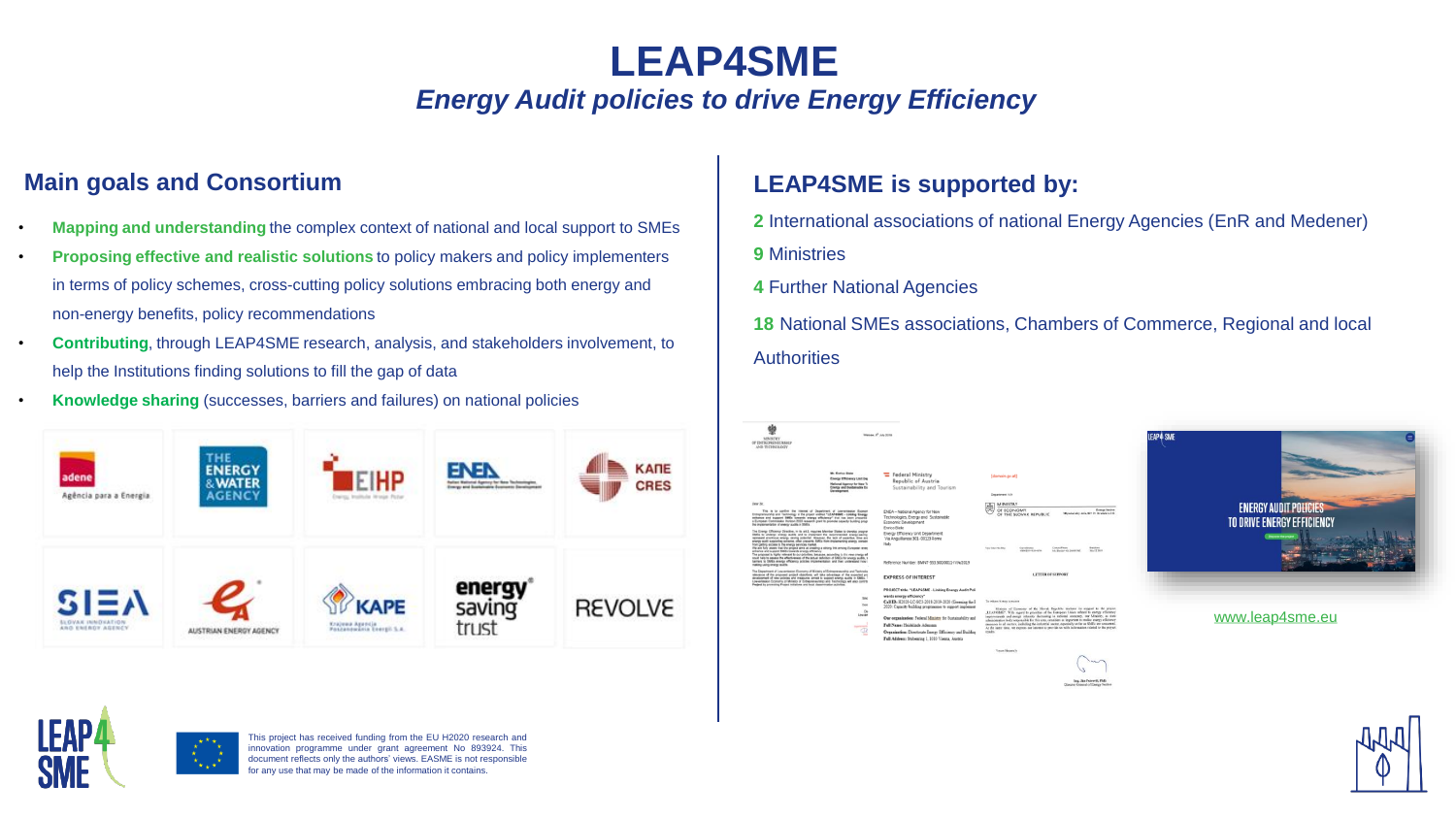## **LEAP4SME** *Energy Audit policies to drive Energy Efficiency*

### **Main goals and Consortium**

- **Mapping and understanding** the complex context of national and local support to SMEs • **Proposing effective and realistic solutions** to policy makers and policy implementers in terms of policy schemes, cross-cutting policy solutions embracing both energy and non-energy benefits, policy recommendations
- **Contributing**, through LEAP4SME research, analysis, and stakeholders involvement, to help the Institutions finding solutions to fill the gap of data
- **Knowledge sharing** (successes, barriers and failures) on national policies



#### **LEAP4SME is supported by:**

- **2** International associations of national Energy Agencies (EnR and Medener)
- **9** Ministries
- **4** Further National Agencies

**18** National SMEs associations, Chambers of Commerce, Regional and local **Authorities** 

| 塑<br><b>MINISTRY</b><br>OF INTREPRINEDRSHIP<br>AND TECHNOLOGY                                                                                                                                                                                                                                                                                                                                                                                                                                                                                                                                                                                                                                                                                                                                                                                                                                 | Warsaw, I <sup>n</sup> July 2016                                                                                                         |                                                                                                                                                                                                                                                                                                                                                                                                                   |                                                                                                                                                                                                                                                                                                                                                                                                                                                                                                                                                                                                                              | <b>LEAP4 SME</b>                                           |
|-----------------------------------------------------------------------------------------------------------------------------------------------------------------------------------------------------------------------------------------------------------------------------------------------------------------------------------------------------------------------------------------------------------------------------------------------------------------------------------------------------------------------------------------------------------------------------------------------------------------------------------------------------------------------------------------------------------------------------------------------------------------------------------------------------------------------------------------------------------------------------------------------|------------------------------------------------------------------------------------------------------------------------------------------|-------------------------------------------------------------------------------------------------------------------------------------------------------------------------------------------------------------------------------------------------------------------------------------------------------------------------------------------------------------------------------------------------------------------|------------------------------------------------------------------------------------------------------------------------------------------------------------------------------------------------------------------------------------------------------------------------------------------------------------------------------------------------------------------------------------------------------------------------------------------------------------------------------------------------------------------------------------------------------------------------------------------------------------------------------|------------------------------------------------------------|
|                                                                                                                                                                                                                                                                                                                                                                                                                                                                                                                                                                                                                                                                                                                                                                                                                                                                                               | Mr. Enrico Blate<br>Energy Efficiency Unit Dep<br><b>National Agency for New Te-</b><br><b>Coarge and Sustainable Ens</b><br>Development | Federal Ministry<br>Republic of Austria<br>Sustainability and Tourism                                                                                                                                                                                                                                                                                                                                             | (domain.gv.at)<br>Department IV/4                                                                                                                                                                                                                                                                                                                                                                                                                                                                                                                                                                                            |                                                            |
| <b>Dear Sit</b><br>This is to confirm the interest of Department of Low-enterior Economy<br>Entrepreneurship and Technology in the project writted "LEAP45ME - Linking Energy"<br>enhance and support SMEs towards energy efficiency" that has been precented<br>a European Commission Holizon 2020 research grant to promote capacity building progra<br>the implementation of energy scotts in SMEs.                                                                                                                                                                                                                                                                                                                                                                                                                                                                                        |                                                                                                                                          | ENEA-National Agency for New<br>Technologies, Energy and Sustainable<br>Economic Development                                                                                                                                                                                                                                                                                                                      | <b>MINISTRY</b><br>OF ECONOMY<br>Energy Section<br>Milenská pier esta, 827 15 Bratislava 212<br>OF THE SLOVAK REPUBLIC                                                                                                                                                                                                                                                                                                                                                                                                                                                                                                       | <b>ENERGY AUDIT POLICIES</b><br>TO DRIVE ENERGY EFFICIENCY |
| The Evergy Efficiency Directive, in its art.8, requires Mamber States to devotop program<br>EMEs to undergo every audits and to inquirement the recommended energy-seving<br>represent anonycous amongy saving potential: However, the lack of expertee, time and<br>energy audit supporting acherna, often prevents SMEs from inspierrenting energy conserve<br>from patting access to the energy services market.<br>We are fully seem that the propert aims at creating a strong link among European energy<br>anhance and support SMEs towards energy efficiency.<br>The proposal is highly relevant to our procities, because, according to the new sinergy whi-<br>could help to assess the effectiveness of the actual definition of SMEs for energy audits, to<br>turners to SMEs energy efficienty policies implementation and then understand how in<br>making using onergy audits. |                                                                                                                                          | Enrico Biele<br><b>Energy Efficiency Unit Department</b><br>Via Anguillarese 301-00123 Rome<br>Italy<br>Reference Number: BMNT-553.500/0011-IV/4/2019                                                                                                                                                                                                                                                             | Concertibus<br>Tour bear No.20av<br>Our reforman<br>1000310141141<br>Mr. Denisco etc. 14854541<br><b>My 12 36 8</b>                                                                                                                                                                                                                                                                                                                                                                                                                                                                                                          | Oldermore that details                                     |
| The Department of Low-entisies Economy of Ministry of Entrepreneuretics and Technology<br>relevance of the proposed project objectives, will take advantage of the expected proj<br>development of new policies and measures aimed to support energy audits in SMEx. T.<br>Low-entered Economy of Ministry of Entrepreneurship and Tachnology will also contribu-<br>Project to providing Project Initiatives and local dissentination activities.                                                                                                                                                                                                                                                                                                                                                                                                                                            |                                                                                                                                          | <b>EXPRESS OF INTEREST</b>                                                                                                                                                                                                                                                                                                                                                                                        | <b>LETTER OF SUPPORT</b>                                                                                                                                                                                                                                                                                                                                                                                                                                                                                                                                                                                                     |                                                            |
|                                                                                                                                                                                                                                                                                                                                                                                                                                                                                                                                                                                                                                                                                                                                                                                                                                                                                               | Since<br>Daro<br>Dec<br>Low-ent<br>$\mathbb{R}$                                                                                          | PROJECT title: "LEAP4SME - Linking Energy Audit Poli<br>wards energy efficiency"<br>Call ID: H2020-LC-SC3-2018-2019-2020 (Greening the E<br>2020: Capacity building programmes to support implement<br>Our organization: Federal Ministry for Sustainability and<br>Full Name: Heidelinde Adensam<br>Organization: Directorate Energy Efficiency and Building<br>Full Address: Stubenring 1, 1010 Vienna, Austria | To whom it may concern<br>Ministry of Euroopys of the Slovak Republic declares its support as the project<br>.LEAP4SME". With regard to primities of the European Union rehard to energy efficiency.<br>imporvements and enorgy intensity decreasing in national economy, sur Ministry, as state<br>administration body responsible for flix area, considers as important to realise energy afficiency<br>messures in all nectors, including the industrial sector, especially as far as SMEs are concernal.<br>At the same time, we express our interest to provide to with information related to the project.<br>resadas. | www.leap4sme.eu                                            |
|                                                                                                                                                                                                                                                                                                                                                                                                                                                                                                                                                                                                                                                                                                                                                                                                                                                                                               |                                                                                                                                          |                                                                                                                                                                                                                                                                                                                                                                                                                   | <b>Years Sixontely</b>                                                                                                                                                                                                                                                                                                                                                                                                                                                                                                                                                                                                       |                                                            |

Ing. Jan Petrovil, PhD.<br>Heretor Orneral of Energy Section



This project has received funding from the EU H2020 research and innovation programme under grant agreement No 893924. This document reflects only the authors' views. EASME is not responsible for any use that may be made of the information it contains.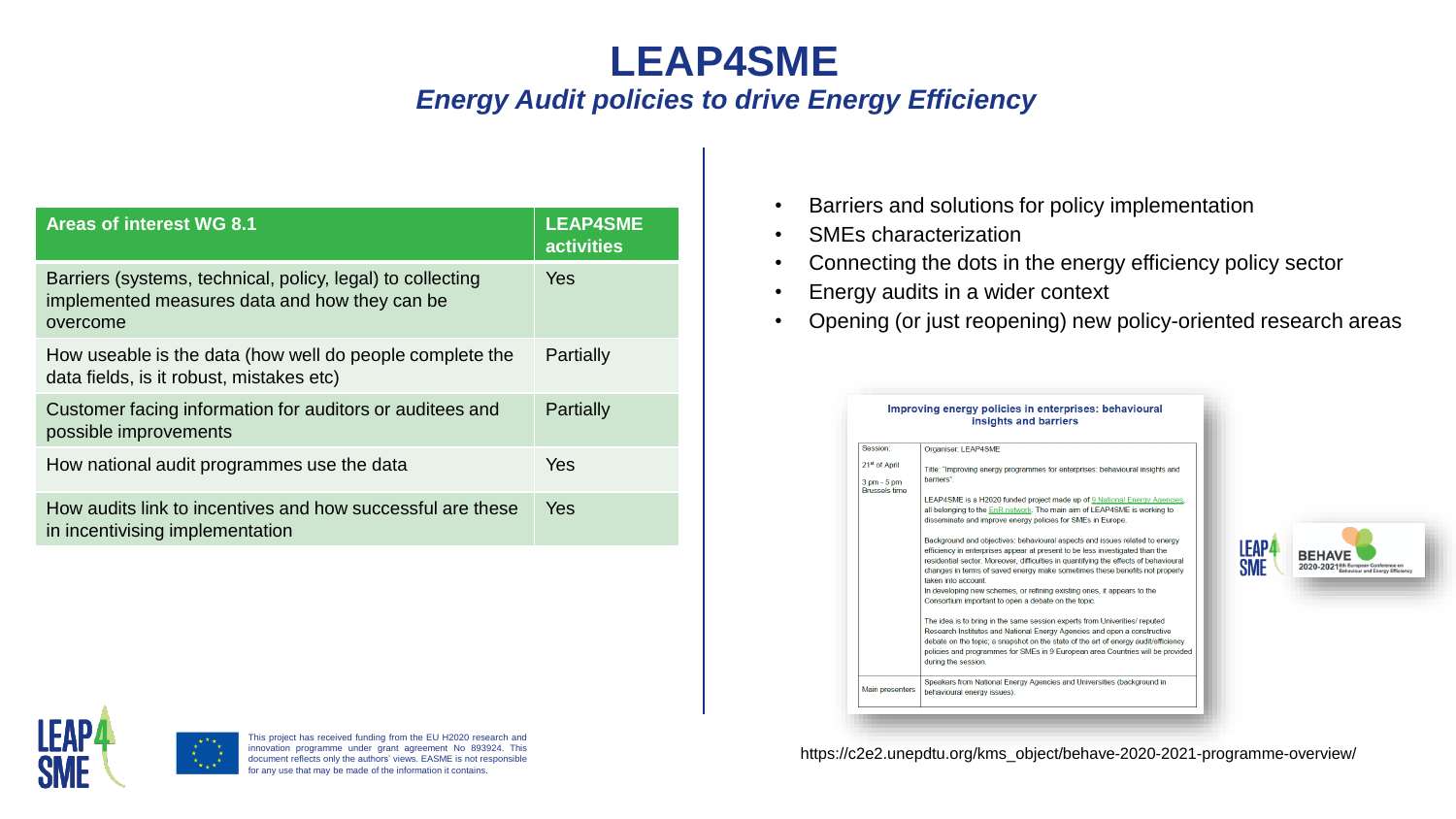## **LEAP4SME** *Energy Audit policies to drive Energy Efficiency*

| <b>Areas of interest WG 8.1</b>                                                                                         | <b>LEAP4SME</b><br><b>activities</b> |
|-------------------------------------------------------------------------------------------------------------------------|--------------------------------------|
| Barriers (systems, technical, policy, legal) to collecting<br>implemented measures data and how they can be<br>overcome | <b>Yes</b>                           |
| How useable is the data (how well do people complete the<br>data fields, is it robust, mistakes etc)                    | Partially                            |
| Customer facing information for auditors or auditees and<br>possible improvements                                       | Partially                            |
| How national audit programmes use the data                                                                              | <b>Yes</b>                           |
| How audits link to incentives and how successful are these<br>in incentivising implementation                           | <b>Yes</b>                           |

- Barriers and solutions for policy implementation
- SMEs characterization
- Connecting the dots in the energy efficiency policy sector
- Energy audits in a wider context
- Opening (or just reopening) new policy-oriented research areas



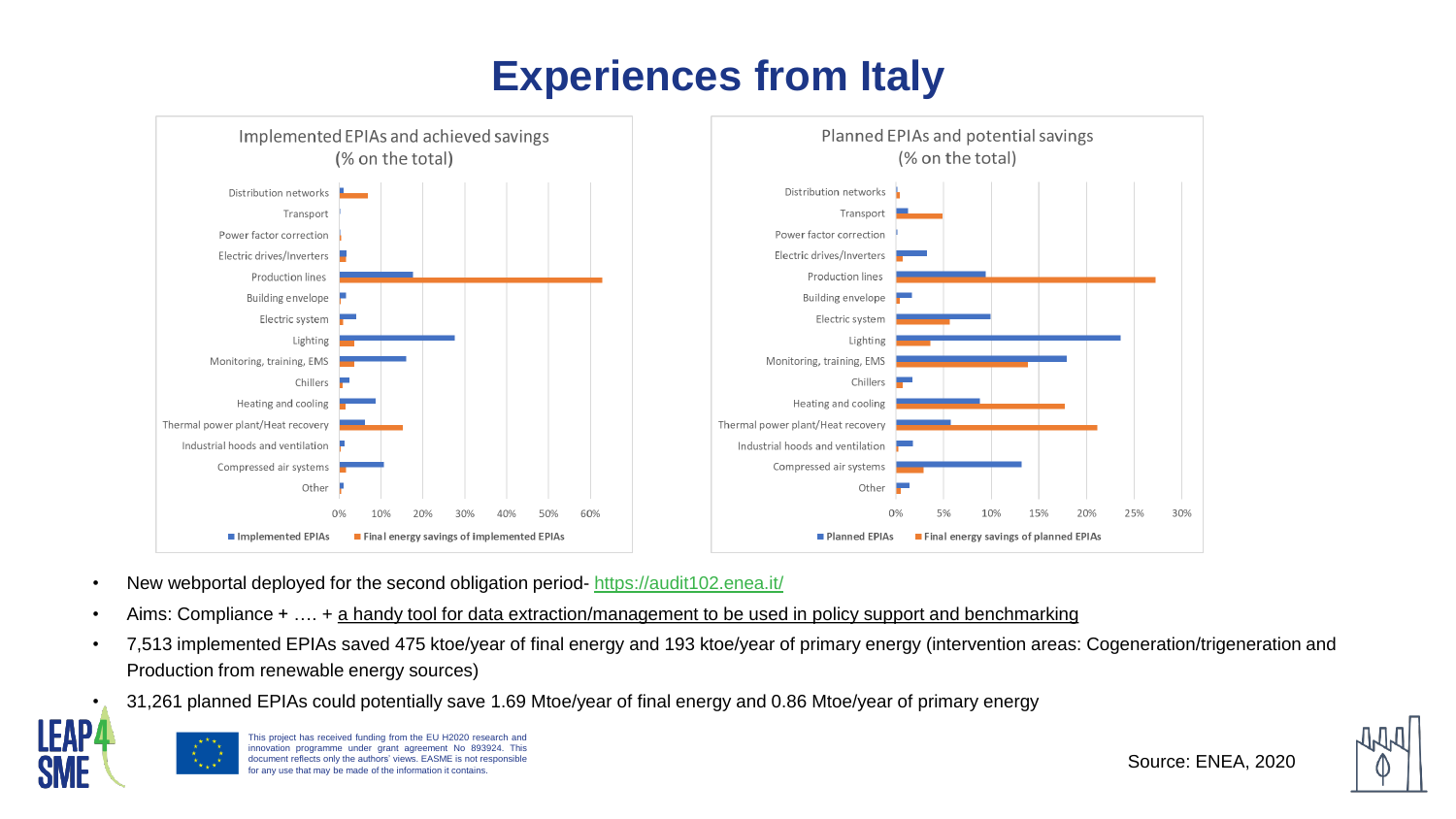# **Experiences from Italy**



- New webportal deployed for the second obligation period- <https://audit102.enea.it/>
- Aims: Compliance + …. + a handy tool for data extraction/management to be used in policy support and benchmarking
- 7,513 implemented EPIAs saved 475 ktoe/year of final energy and 193 ktoe/year of primary energy (intervention areas: Cogeneration/trigeneration and Production from renewable energy sources)
- 31,261 planned EPIAs could potentially save 1.69 Mtoe/year of final energy and 0.86 Mtoe/year of primary energy



This project has received funding from the EU H2020 research and innovation programme under grant agreement No 893924. This document reflects only the authors' views. EASME is not responsible for any use that may be made of the information it contains.

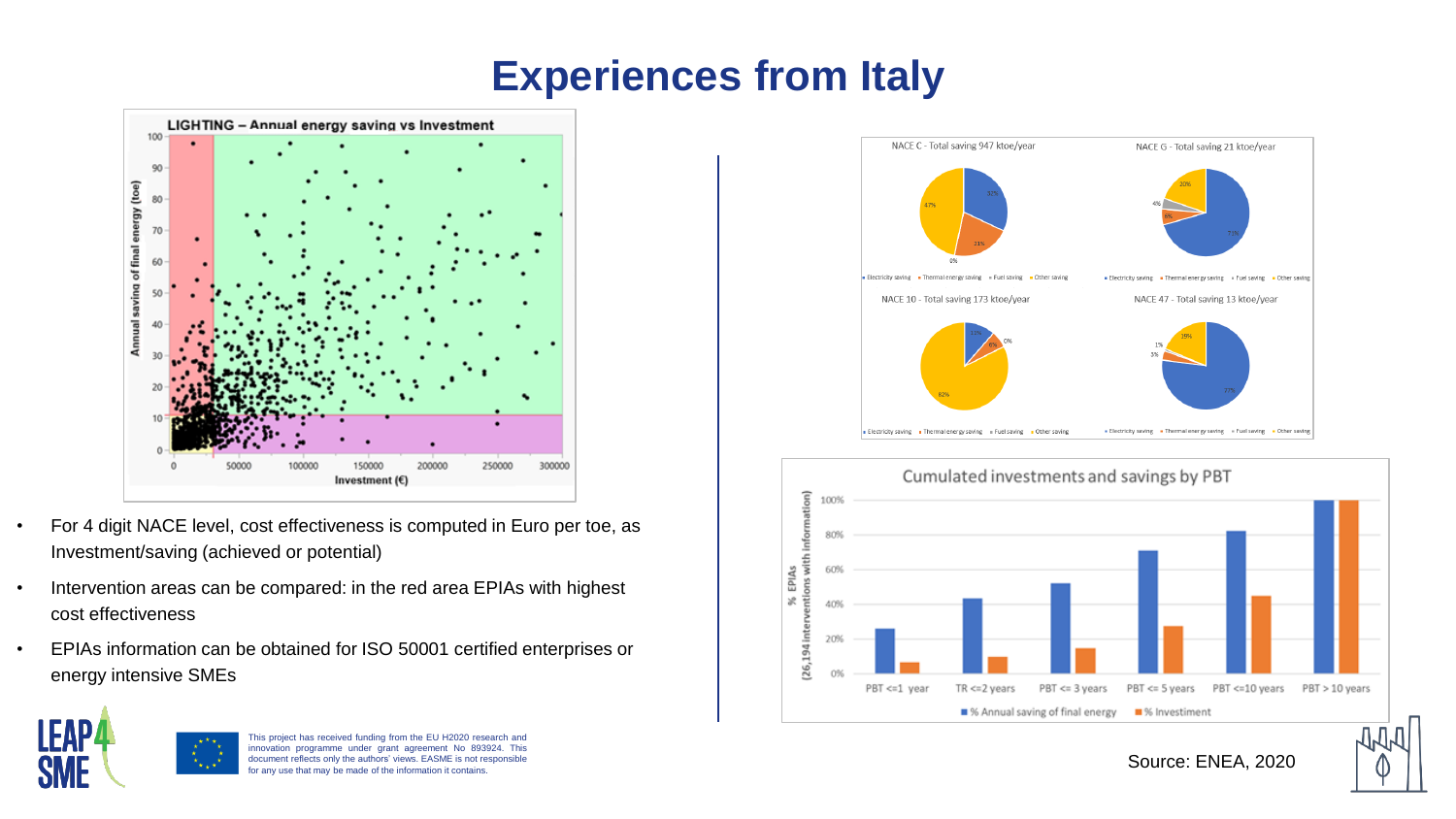# **Experiences from Italy**



- For 4 digit NACE level, cost effectiveness is computed in Euro per toe, as Investment/saving (achieved or potential)
- Intervention areas can be compared: in the red area EPIAs with highest cost effectiveness
- EPIAs information can be obtained for ISO 50001 certified enterprises or energy intensive SMEs